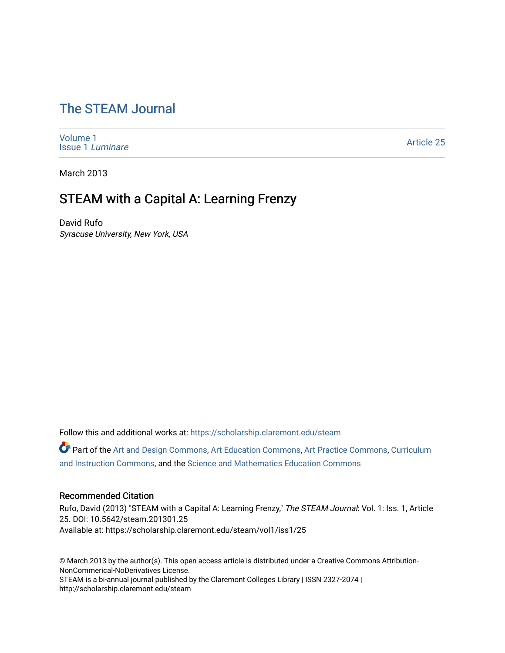# [The STEAM Journal](https://scholarship.claremont.edu/steam)

[Volume 1](https://scholarship.claremont.edu/steam/vol1) [Issue 1](https://scholarship.claremont.edu/steam/vol1/iss1) Luminare

[Article 25](https://scholarship.claremont.edu/steam/vol1/iss1/25) 

March 2013

# STEAM with a Capital A: Learning Frenzy

David Rufo Syracuse University, New York, USA

Follow this and additional works at: [https://scholarship.claremont.edu/steam](https://scholarship.claremont.edu/steam?utm_source=scholarship.claremont.edu%2Fsteam%2Fvol1%2Fiss1%2F25&utm_medium=PDF&utm_campaign=PDFCoverPages) 

Part of the [Art and Design Commons](https://network.bepress.com/hgg/discipline/1049?utm_source=scholarship.claremont.edu%2Fsteam%2Fvol1%2Fiss1%2F25&utm_medium=PDF&utm_campaign=PDFCoverPages), [Art Education Commons,](https://network.bepress.com/hgg/discipline/1149?utm_source=scholarship.claremont.edu%2Fsteam%2Fvol1%2Fiss1%2F25&utm_medium=PDF&utm_campaign=PDFCoverPages) [Art Practice Commons,](https://network.bepress.com/hgg/discipline/509?utm_source=scholarship.claremont.edu%2Fsteam%2Fvol1%2Fiss1%2F25&utm_medium=PDF&utm_campaign=PDFCoverPages) [Curriculum](https://network.bepress.com/hgg/discipline/786?utm_source=scholarship.claremont.edu%2Fsteam%2Fvol1%2Fiss1%2F25&utm_medium=PDF&utm_campaign=PDFCoverPages) [and Instruction Commons](https://network.bepress.com/hgg/discipline/786?utm_source=scholarship.claremont.edu%2Fsteam%2Fvol1%2Fiss1%2F25&utm_medium=PDF&utm_campaign=PDFCoverPages), and the [Science and Mathematics Education Commons](https://network.bepress.com/hgg/discipline/800?utm_source=scholarship.claremont.edu%2Fsteam%2Fvol1%2Fiss1%2F25&utm_medium=PDF&utm_campaign=PDFCoverPages) 

## Recommended Citation

Rufo, David (2013) "STEAM with a Capital A: Learning Frenzy," The STEAM Journal: Vol. 1: Iss. 1, Article 25. DOI: 10.5642/steam.201301.25 Available at: https://scholarship.claremont.edu/steam/vol1/iss1/25

© March 2013 by the author(s). This open access article is distributed under a Creative Commons Attribution-NonCommerical-NoDerivatives License. STEAM is a bi-annual journal published by the Claremont Colleges Library | ISSN 2327-2074 | http://scholarship.claremont.edu/steam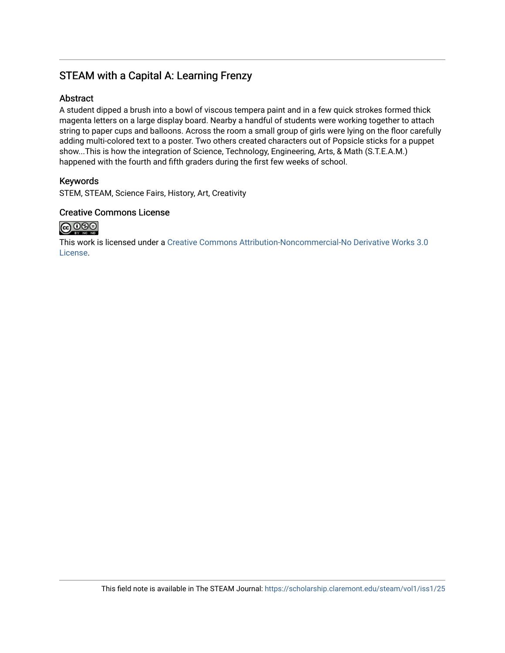# STEAM with a Capital A: Learning Frenzy

## Abstract

A student dipped a brush into a bowl of viscous tempera paint and in a few quick strokes formed thick magenta letters on a large display board. Nearby a handful of students were working together to attach string to paper cups and balloons. Across the room a small group of girls were lying on the floor carefully adding multi-colored text to a poster. Two others created characters out of Popsicle sticks for a puppet show...This is how the integration of Science, Technology, Engineering, Arts, & Math (S.T.E.A.M.) happened with the fourth and fifth graders during the first few weeks of school.

## Keywords

STEM, STEAM, Science Fairs, History, Art, Creativity

## Creative Commons License



This work is licensed under a [Creative Commons Attribution-Noncommercial-No Derivative Works 3.0](https://creativecommons.org/licenses/by-nc-nd/3.0/) [License](https://creativecommons.org/licenses/by-nc-nd/3.0/).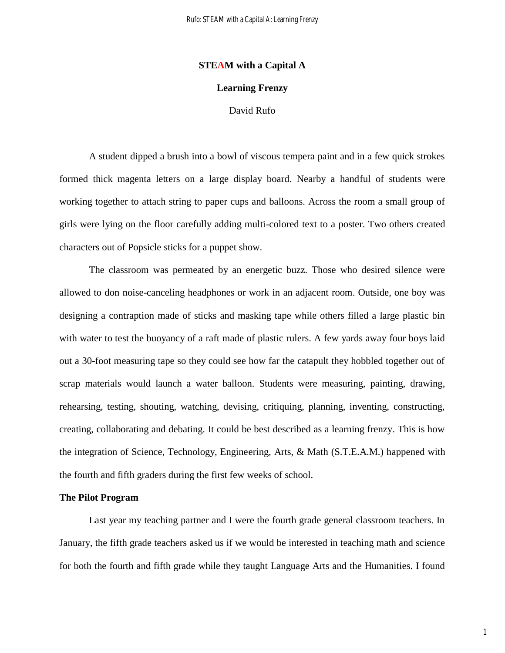### **STEAM with a Capital A**

### **Learning Frenzy**

## David Rufo

A student dipped a brush into a bowl of viscous tempera paint and in a few quick strokes formed thick magenta letters on a large display board. Nearby a handful of students were working together to attach string to paper cups and balloons. Across the room a small group of girls were lying on the floor carefully adding multi-colored text to a poster. Two others created characters out of Popsicle sticks for a puppet show.

The classroom was permeated by an energetic buzz. Those who desired silence were allowed to don noise-canceling headphones or work in an adjacent room. Outside, one boy was designing a contraption made of sticks and masking tape while others filled a large plastic bin with water to test the buoyancy of a raft made of plastic rulers. A few yards away four boys laid out a 30-foot measuring tape so they could see how far the catapult they hobbled together out of scrap materials would launch a water balloon. Students were measuring, painting, drawing, rehearsing, testing, shouting, watching, devising, critiquing, planning, inventing, constructing, creating, collaborating and debating. It could be best described as a learning frenzy. This is how the integration of Science, Technology, Engineering, Arts, & Math (S.T.E.A.M.) happened with the fourth and fifth graders during the first few weeks of school.

#### **The Pilot Program**

Last year my teaching partner and I were the fourth grade general classroom teachers. In January, the fifth grade teachers asked us if we would be interested in teaching math and science for both the fourth and fifth grade while they taught Language Arts and the Humanities. I found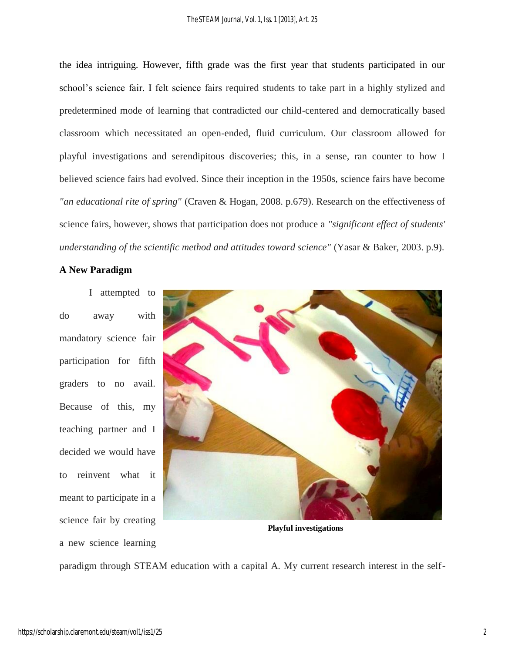the idea intriguing. However, fifth grade was the first year that students participated in our school's science fair. I felt science fairs required students to take part in a highly stylized and predetermined mode of learning that contradicted our child-centered and democratically based classroom which necessitated an open-ended, fluid curriculum. Our classroom allowed for playful investigations and serendipitous discoveries; this, in a sense, ran counter to how I believed science fairs had evolved. Since their inception in the 1950s, science fairs have become *"an educational rite of spring"* (Craven & Hogan, 2008. p.679). Research on the effectiveness of science fairs, however, shows that participation does not produce a *"significant effect of students' understanding of the scientific method and attitudes toward science"* (Yasar & Baker, 2003. p.9).

## **A New Paradigm**

I attempted to do away with mandatory science fair participation for fifth graders to no avail. Because of this, my teaching partner and I decided we would have to reinvent what it meant to participate in a science fair by creating a new science learning



**Playful investigations**

paradigm through STEAM education with a capital A. My current research interest in the self-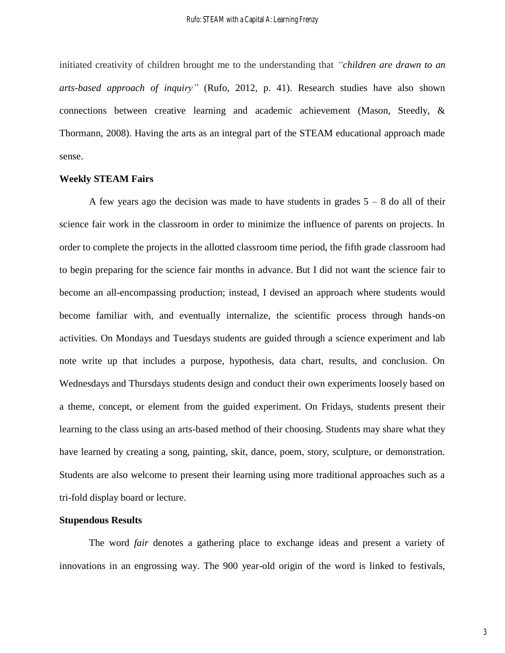initiated creativity of children brought me to the understanding that *"children are drawn to an arts-based approach of inquiry"* (Rufo, 2012, p. 41). Research studies have also shown connections between creative learning and academic achievement (Mason, Steedly, & Thormann, 2008). Having the arts as an integral part of the STEAM educational approach made sense.

#### **Weekly STEAM Fairs**

A few years ago the decision was made to have students in grades  $5 - 8$  do all of their science fair work in the classroom in order to minimize the influence of parents on projects. In order to complete the projects in the allotted classroom time period, the fifth grade classroom had to begin preparing for the science fair months in advance. But I did not want the science fair to become an all-encompassing production; instead, I devised an approach where students would become familiar with, and eventually internalize, the scientific process through hands-on activities. On Mondays and Tuesdays students are guided through a science experiment and lab note write up that includes a purpose, hypothesis, data chart, results, and conclusion. On Wednesdays and Thursdays students design and conduct their own experiments loosely based on a theme, concept, or element from the guided experiment. On Fridays, students present their learning to the class using an arts-based method of their choosing. Students may share what they have learned by creating a song, painting, skit, dance, poem, story, sculpture, or demonstration. Students are also welcome to present their learning using more traditional approaches such as a tri-fold display board or lecture.

### **Stupendous Results**

The word *fair* denotes a gathering place to exchange ideas and present a variety of innovations in an engrossing way. The 900 year-old origin of the word is linked to festivals,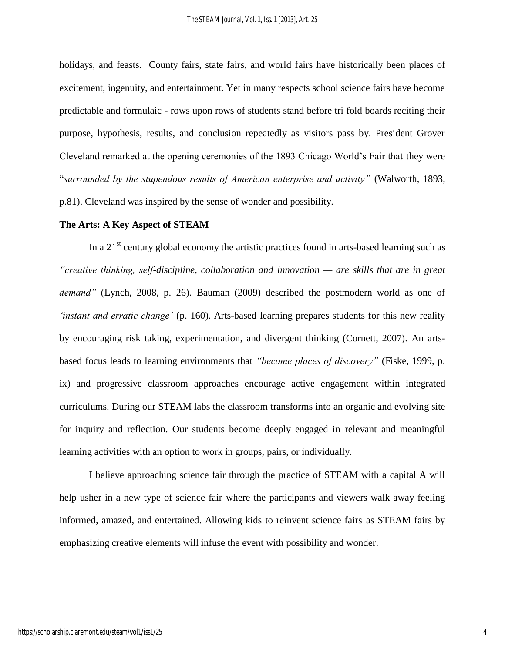holidays, and feasts. County fairs, state fairs, and world fairs have historically been places of excitement, ingenuity, and entertainment. Yet in many respects school science fairs have become predictable and formulaic - rows upon rows of students stand before tri fold boards reciting their purpose, hypothesis, results, and conclusion repeatedly as visitors pass by. President Grover Cleveland remarked at the opening ceremonies of the 1893 Chicago World's Fair that they were "*surrounded by the stupendous results of American enterprise and activity"* (Walworth, 1893, p.81). Cleveland was inspired by the sense of wonder and possibility.

#### **The Arts: A Key Aspect of STEAM**

In a  $21<sup>st</sup>$  century global economy the artistic practices found in arts-based learning such as *"creative thinking, self-discipline, collaboration and innovation — are skills that are in great demand"* (Lynch, 2008, p. 26). Bauman (2009) described the postmodern world as one of *'instant and erratic change'* (p. 160). Arts-based learning prepares students for this new reality by encouraging risk taking, experimentation, and divergent thinking (Cornett, 2007). An artsbased focus leads to learning environments that *"become places of discovery"* (Fiske, 1999, p. ix) and progressive classroom approaches encourage active engagement within integrated curriculums. During our STEAM labs the classroom transforms into an organic and evolving site for inquiry and reflection. Our students become deeply engaged in relevant and meaningful learning activities with an option to work in groups, pairs, or individually.

I believe approaching science fair through the practice of STEAM with a capital A will help usher in a new type of science fair where the participants and viewers walk away feeling informed, amazed, and entertained. Allowing kids to reinvent science fairs as STEAM fairs by emphasizing creative elements will infuse the event with possibility and wonder.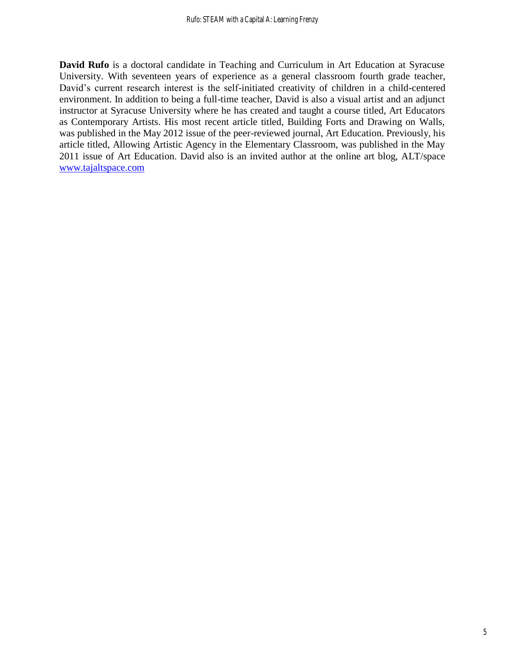**David Rufo** is a doctoral candidate in Teaching and Curriculum in Art Education at Syracuse University. With seventeen years of experience as a general classroom fourth grade teacher, David's current research interest is the self-initiated creativity of children in a child-centered environment. In addition to being a full-time teacher, David is also a visual artist and an adjunct instructor at Syracuse University where he has created and taught a course titled, Art Educators as Contemporary Artists. His most recent article titled, Building Forts and Drawing on Walls, was published in the May 2012 issue of the peer-reviewed journal, Art Education. Previously, his article titled, Allowing Artistic Agency in the Elementary Classroom, was published in the May 2011 issue of Art Education. David also is an invited author at the online art blog, ALT/space [www.tajaltspace.com](http://www.tajaltspace.com/)